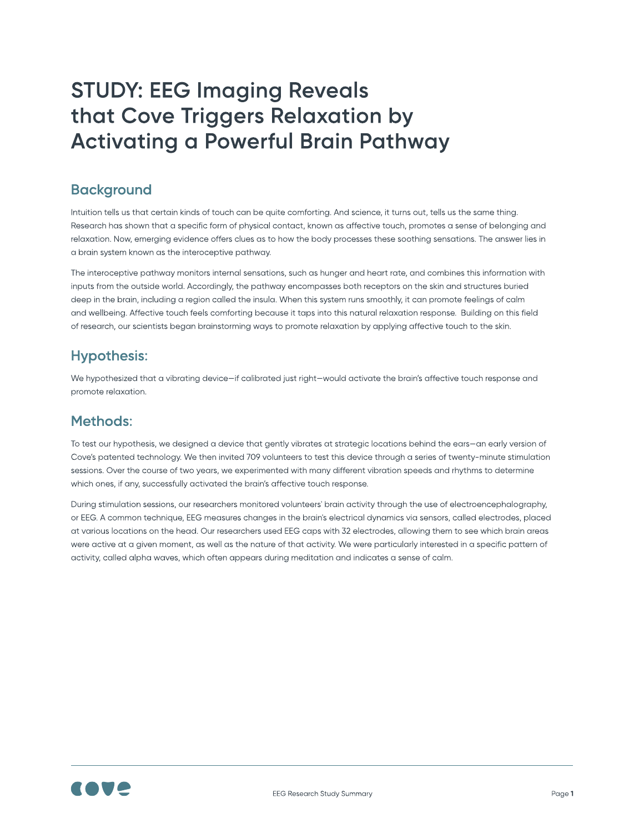Intuition tells us that certain kinds of touch can be quite comforting. And science, it turns out, tells us the same thing. Research has shown that a specific form of physical contact, known as affective touch, promotes a sense of belonging and relaxation. Now, emerging evidence offers clues as to how the body processes these soothing sensations. The answer lies in a brain system known as the interoceptive pathway.

The interoceptive pathway monitors internal sensations, such as hunger and heart rate, and combines this information with inputs from the outside world. Accordingly, the pathway encompasses both receptors on the skin and structures buried deep in the brain, including a region called the insula. When this system runs smoothly, it can promote feelings of calm and wellbeing. Affective touch feels comforting because it taps into this natural relaxation response.
Building on this field of research, our scientists began brainstorming ways to promote relaxation by applying affective touch to the skin.

We hypothesized that a vibrating device—if calibrated just right—would activate the brain's affective touch response and promote relaxation.

To test our hypothesis, we designed a device that gently vibrates at strategic locations behind the ears—an early version of Cove's patented technology. We then invited 709 volunteers to test this device through a series of twenty-minute stimulation sessions. Over the course of two years, we experimented with many different vibration speeds and rhythms to determine which ones, if any, successfully activated the brain's affective touch response.

During stimulation sessions, our researchers monitored volunteers' brain activity through the use of electroencephalography, or EEG. A common technique, EEG measures changes in the brain's electrical dynamics via sensors, called electrodes, placed at various locations on the head. Our researchers used EEG caps with 32 electrodes, allowing them to see which brain areas were active at a given moment, as well as the nature of that activity. We were particularly interested in a specific pattern of activity, called alpha waves, which often appears during meditation and indicates a sense of calm.



### Hypothesis:

#### Methods:

# STUDY: EEG Imaging Reveals that Cove Triggers Relaxation by Activating a Powerful Brain Pathway

#### **Background**